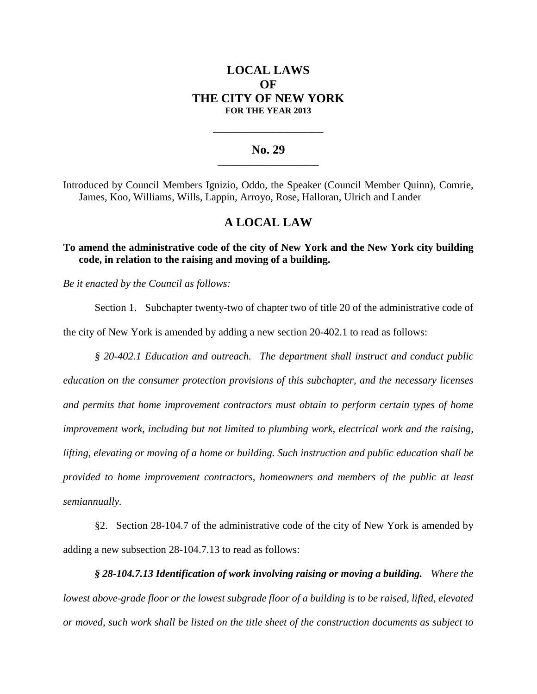# **LOCAL LAWS OF THE CITY OF NEW YORK FOR THE YEAR 2013**

## **No. 29 \_\_\_\_\_\_\_\_\_\_\_\_\_\_\_\_\_\_\_\_\_\_\_**

**\_\_\_\_\_\_\_\_\_\_\_\_\_\_\_\_\_\_\_\_\_\_\_\_\_\_\_\_**

Introduced by Council Members Ignizio, Oddo, the Speaker (Council Member Quinn), Comrie, James, Koo, Williams, Wills, Lappin, Arroyo, Rose, Halloran, Ulrich and Lander

# **A LOCAL LAW**

## **To amend the administrative code of the city of New York and the New York city building code, in relation to the raising and moving of a building.**

*Be it enacted by the Council as follows:*

Section 1. Subchapter twenty-two of chapter two of title 20 of the administrative code of the city of New York is amended by adding a new section 20-402.1 to read as follows:

*§ 20-402.1 Education and outreach. The department shall instruct and conduct public education on the consumer protection provisions of this subchapter, and the necessary licenses and permits that home improvement contractors must obtain to perform certain types of home improvement work, including but not limited to plumbing work, electrical work and the raising, lifting, elevating or moving of a home or building. Such instruction and public education shall be provided to home improvement contractors, homeowners and members of the public at least semiannually.*

§2. Section 28-104.7 of the administrative code of the city of New York is amended by adding a new subsection 28-104.7.13 to read as follows:

*§ 28-104.7.13 Identification of work involving raising or moving a building. Where the lowest above-grade floor or the lowest subgrade floor of a building is to be raised, lifted, elevated or moved, such work shall be listed on the title sheet of the construction documents as subject to*